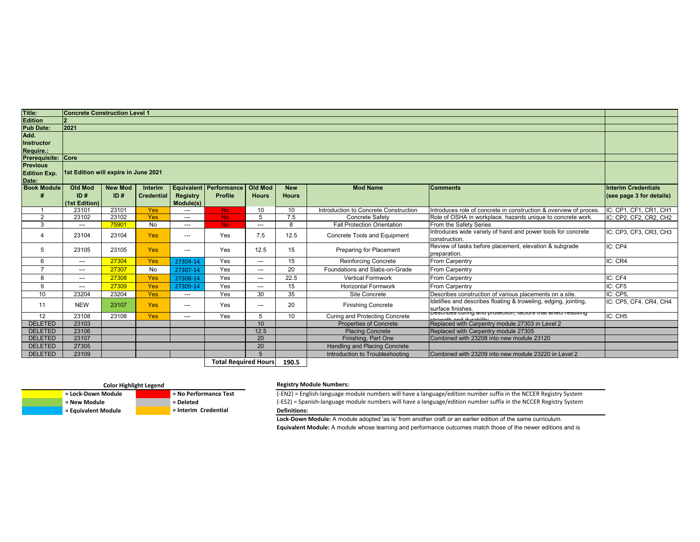|                                     | <b>Interim Credentials</b><br>(see page 3 for details) |
|-------------------------------------|--------------------------------------------------------|
| ion & overview of proces.           | IC: CP1, CF1, CR1, CH1                                 |
| nique to concrete work.             | IC: CP2, CF2, CR2, CH2                                 |
| wer tools for concrete              | IC: CP3, CF3, CR3, CH3                                 |
| ation & subgrade                    | IC:CP4                                                 |
|                                     | IC: CR4                                                |
|                                     |                                                        |
|                                     | IC: CF4                                                |
|                                     | IC: CF5                                                |
| ements on a site.                   | IC: CP5,                                               |
| ing, edging, jointing,              | IC: CP5, CF4, CR4, CH4                                 |
| <del>s triat airect resulting</del> | IC: CH5                                                |
| in Level 2                          |                                                        |
|                                     |                                                        |
| 23120                               |                                                        |
|                                     |                                                        |
| 23220 in Level 2                    |                                                        |
|                                     |                                                        |

| Title:                    | <b>Concrete Construction Level 1</b> |                |                   |                     |                             |                         |                 |                                       |                                                                                       |                            |
|---------------------------|--------------------------------------|----------------|-------------------|---------------------|-----------------------------|-------------------------|-----------------|---------------------------------------|---------------------------------------------------------------------------------------|----------------------------|
| <b>Edition</b>            |                                      |                |                   |                     |                             |                         |                 |                                       |                                                                                       |                            |
| <b>Pub Date:</b>          | 2021                                 |                |                   |                     |                             |                         |                 |                                       |                                                                                       |                            |
| Add.                      |                                      |                |                   |                     |                             |                         |                 |                                       |                                                                                       |                            |
| <b>Instructor</b>         |                                      |                |                   |                     |                             |                         |                 |                                       |                                                                                       |                            |
| Require.:                 |                                      |                |                   |                     |                             |                         |                 |                                       |                                                                                       |                            |
| <b>Prerequisite: Core</b> |                                      |                |                   |                     |                             |                         |                 |                                       |                                                                                       |                            |
| <b>Previous</b>           |                                      |                |                   |                     |                             |                         |                 |                                       |                                                                                       |                            |
| <b>Edition Exp.</b>       | 1st Edition will expire in June 2021 |                |                   |                     |                             |                         |                 |                                       |                                                                                       |                            |
| Date:                     |                                      |                |                   |                     |                             |                         |                 |                                       |                                                                                       |                            |
| <b>Book Module</b>        | <b>Old Mod</b>                       | <b>New Mod</b> | Interim           |                     | Equivalent   Performance    | <b>Old Mod</b>          | <b>New</b>      | <b>Mod Name</b>                       | <b>Comments</b>                                                                       | <b>Interim Credentials</b> |
|                           | ID#                                  | ID#            | <b>Credential</b> | <b>Registry</b>     | <b>Profile</b>              | <b>Hours</b>            | <b>Hours</b>    |                                       |                                                                                       | (see page 3 for details)   |
|                           | (1st Edition)                        |                |                   | Module(s)           |                             |                         |                 |                                       |                                                                                       |                            |
|                           | 23101                                | 23101          | Yes               | $---$               | No.                         | 10                      | 10 <sup>°</sup> | Introduction to Concrete Construction | Introduces role of concrete in construction & overview of proces.                     | IC: CP1, CF1, CR1, CH1     |
| $\overline{2}$            | 23102                                | 23102          | Yes               | $---$               | No.                         | 5                       | 7.5             | <b>Concrete Safety</b>                | Role of OSHA in workplace, hazards unique to concrete work.                           | IC: CP2, CF2, CR2, CH2     |
| 3                         | ---                                  | 75901          | No                | $\qquad \qquad - -$ | No.                         | ---                     | 8               | <b>Fall Protection Orientation</b>    | From the Safety Series                                                                |                            |
| 4                         | 23104                                | 23104          | <b>Yes</b>        | $\qquad \qquad - -$ | Yes                         | 7.5                     | 12.5            | <b>Concrete Tools and Equipment</b>   | Introduces wide variety of hand and power tools for concrete                          | IC: CP3, CF3, CR3, CH3     |
|                           |                                      |                |                   |                     |                             |                         |                 |                                       | construction.                                                                         |                            |
| $5\phantom{.0}$           | 23105                                | 23105          | <b>Yes</b>        | ---                 | Yes                         | 12.5                    | 15              | Preparing for Placement               | Review of tasks before placement, elevation & subgrade                                | IC: CP4                    |
|                           |                                      |                |                   |                     |                             |                         |                 |                                       | preparation.                                                                          |                            |
| 6                         | $\scriptstyle \cdots$                | 27304          | <b>Yes</b>        | 27304-14            | Yes                         | $\overline{a}$          | 15              | <b>Reinforcing Concrete</b>           | <b>From Carpentry</b>                                                                 | IC: CR4                    |
| $\overline{ }$            | $\qquad \qquad -\qquad -$            | 27307          | No                | 27307-14            | Yes                         | ---                     | 20              | Foundations and Slabs-on-Grade        | <b>From Carpentry</b>                                                                 |                            |
| 8                         | $\scriptstyle \cdots$                | 27308          | <b>Yes</b>        | 27308-14            | Yes                         | $\qquad \qquad -\qquad$ | 22.5            | <b>Vertical Formwork</b>              | <b>From Carpentry</b>                                                                 | IC: CF4                    |
| $\boldsymbol{9}$          | $\hspace{0.05cm}---\hspace{0.05cm}$  | 27309          | Yes               | 27309-14            | Yes                         | $\qquad \qquad -\qquad$ | 15              | <b>Horizontal Formwork</b>            | From Carpentry                                                                        | IC: CF5                    |
| 10                        | 23204                                | 23204          | <b>Yes</b>        | $\frac{1}{2}$       | Yes                         | 30                      | 35              | Site Concrete                         | Describes construction of various placements on a site.                               | IC: CP5.                   |
| 11                        | <b>NEW</b>                           | 23107          | <b>Yes</b>        | $---$               | Yes                         | ---                     | 20              | <b>Finishing Concrete</b>             | Idetifies and describes floating & troweling, edging, jointing,                       | IC: CP5, CF4, CR4, CH4     |
|                           |                                      |                |                   |                     |                             |                         |                 |                                       | surface finishes.<br> Describes currity and protection, ractors that affect resulting |                            |
| 12                        | 23108                                | 23108          | <b>Yes</b>        | $---$               | Yes                         | 5                       | 10 <sup>°</sup> | <b>Curing and Protecting Concrete</b> |                                                                                       | IC: CH5                    |
| <b>DELETED</b>            | 23103                                |                |                   |                     |                             | 10                      |                 | <b>Properties of Concrete</b>         | Replaced with Carpentry module 27303 in Level 2                                       |                            |
| <b>DELETED</b>            | 23106                                |                |                   |                     |                             | 12.5                    |                 | <b>Placing Concrete</b>               | Replaced with Carpentry module 27305                                                  |                            |
| <b>DELETED</b>            | 23107                                |                |                   |                     |                             | 20                      |                 | Finishing, Part One                   | Combined with 23208 into new module 23120                                             |                            |
| <b>DELETED</b>            | 27305                                |                |                   |                     |                             | 20                      |                 | Handling and Placing Concrete         |                                                                                       |                            |
| <b>DELETED</b>            | 23109                                |                |                   |                     |                             | 5                       |                 | Introduction to Troubleshooting       | Combined with 23209 into new module 23220 in Level 2                                  |                            |
|                           |                                      |                |                   |                     | <b>Total Required Hours</b> |                         | 190.5           |                                       |                                                                                       |                            |



**= Equivalent Module** 

## Color Highlight Legend **Registry Module Numbers:**

 **= Lock-Down Module | No Performance Test** (-EN2) = English-language module numbers will have a language/edition number suffix in the NCCER Registry System  **= New Module Example 2018** = Deleted **Example 2018** = Deleted (-ES2) = Spanish-language module numbers will have a language/edition number suffix in the NCCER Registry System = Equivalent Module **The Contract of the In Definitions:**

> **Lock-Down Module:** A module adopted 'as is' from another craft or an earlier edition of the same curriculum. **Equivalent Module:** A module whose learning and performance outcomes match those of the newer editions and is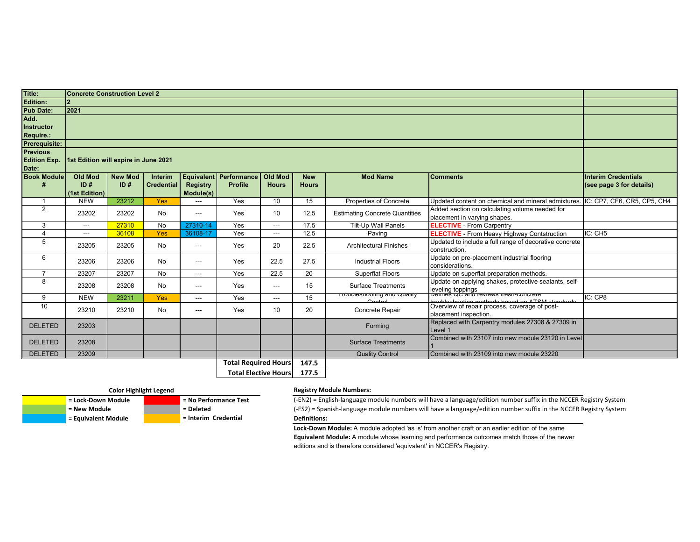| Title:               | <b>Concrete Construction Level 2</b> |                |                   |                                        |                               |                             |                 |                                        |                                                                                                  |                            |
|----------------------|--------------------------------------|----------------|-------------------|----------------------------------------|-------------------------------|-----------------------------|-----------------|----------------------------------------|--------------------------------------------------------------------------------------------------|----------------------------|
| <b>Edition:</b>      |                                      |                |                   |                                        |                               |                             |                 |                                        |                                                                                                  |                            |
| <b>Pub Date:</b>     | 2021                                 |                |                   |                                        |                               |                             |                 |                                        |                                                                                                  |                            |
| Add.                 |                                      |                |                   |                                        |                               |                             |                 |                                        |                                                                                                  |                            |
| <b>Instructor</b>    |                                      |                |                   |                                        |                               |                             |                 |                                        |                                                                                                  |                            |
| <b>Require.:</b>     |                                      |                |                   |                                        |                               |                             |                 |                                        |                                                                                                  |                            |
| <b>Prerequisite:</b> |                                      |                |                   |                                        |                               |                             |                 |                                        |                                                                                                  |                            |
| <b>Previous</b>      |                                      |                |                   |                                        |                               |                             |                 |                                        |                                                                                                  |                            |
| <b>Edition Exp.</b>  | 1st Edition will expire in June 2021 |                |                   |                                        |                               |                             |                 |                                        |                                                                                                  |                            |
| Date:                |                                      |                |                   |                                        |                               |                             |                 |                                        |                                                                                                  |                            |
| <b>Book Module</b>   | <b>Old Mod</b>                       | <b>New Mod</b> | Interim           |                                        | <b>Equivalent Performance</b> | <b>Old Mod</b>              | <b>New</b>      | <b>Mod Name</b>                        | <b>Comments</b>                                                                                  | <b>Interim Credentials</b> |
| #                    | ID#                                  | ID#            | <b>Credential</b> | <b>Registry</b>                        | <b>Profile</b>                | <b>Hours</b>                | <b>Hours</b>    |                                        |                                                                                                  | (see page 3 for details)   |
|                      | (1st Edition)                        |                |                   | Module(s)                              |                               |                             |                 |                                        |                                                                                                  |                            |
| $\overline{1}$       | <b>NEW</b>                           | 23212          | <b>Yes</b>        | $---$                                  | Yes                           | 10                          | 15              | Properties of Concrete                 | Updated content on chemical and mineral admixtures. IC: CP7, CF6, CR5, CP5, CH4                  |                            |
| $\overline{2}$       | 23202                                | 23202          | No                | $\hspace{0.05cm} \ldots$               | Yes                           | 10 <sup>°</sup>             | 12.5            | <b>Estimating Concrete Quantities</b>  | Added section on calculating volume needed for                                                   |                            |
|                      |                                      |                |                   |                                        |                               |                             |                 |                                        | placement in varying shapes.                                                                     |                            |
| 3                    | $\sim$ $\sim$                        | 27310          | <b>No</b>         | 27310-14                               | Yes                           | ---                         | 17.5            | <b>Tilt-Up Wall Panels</b>             | <b>ELECTIVE</b> - From Carpentry                                                                 |                            |
| $\overline{4}$       | $---$                                | 36108          | <b>Yes</b>        | 36108-17                               | Yes                           | ---                         | 12.5            | Paving                                 | <b>ELECTIVE</b> - From Heavy Highway Contstruction                                               | IC: CH5                    |
| 5                    | 23205                                | 23205          | No                | $---$                                  | Yes                           | 20                          | 22.5            | <b>Architectural Finishes</b>          | Updated to include a full range of decorative concrete                                           |                            |
|                      |                                      |                |                   |                                        |                               |                             |                 | construction.                          |                                                                                                  |                            |
| 6                    | 23206                                | 23206          | No                | $\hspace{0.05cm} \ldots$               | Yes                           | 22.5                        | 27.5            | <b>Industrial Floors</b>               | Update on pre-placement industrial flooring<br>considerations.                                   |                            |
| $\overline{7}$       | 23207                                | 23207          | No                | $\sim$ $\sim$ $\sim$                   | Yes                           | 22.5                        | $\overline{20}$ | <b>Superflat Floors</b>                | Update on superflat preparation methods.                                                         |                            |
| 8                    |                                      |                |                   |                                        |                               |                             |                 |                                        | Update on applying shakes, protective sealants, self-                                            |                            |
|                      | 23208                                | 23208          | No                | $\scriptstyle\cdots\scriptstyle\cdots$ | Yes                           | ---                         | 15              | <b>Surface Treatments</b>              |                                                                                                  |                            |
| 9                    | <b>NEW</b>                           | 23211          | Yes               | $\qquad \qquad -\qquad -$              | Yes                           | ---                         | 15              | <del>110upleshooting and Quality</del> | leveling toppings<br><del> Dennes QC and reviews nesn-concrete</del>                             | IC: CP8                    |
| 10                   |                                      |                |                   |                                        |                               |                             |                 | $Control$                              | roubles heating matheds begad on ATCM standards<br>Overview of repair process, coverage of post- |                            |
|                      | 23210                                | 23210          | No                | $\sim$ $\sim$ $\sim$                   | Yes                           | 10                          | 20              | Concrete Repair                        | placement inspection.                                                                            |                            |
|                      |                                      |                |                   |                                        |                               |                             |                 |                                        | Replaced with Carpentry modules 27308 & 27309 in                                                 |                            |
| <b>DELETED</b>       | 23203                                |                |                   |                                        |                               |                             |                 | Forming                                | Level 1                                                                                          |                            |
|                      |                                      |                |                   |                                        |                               |                             |                 |                                        | Combined with 23107 into new module 23120 in Level                                               |                            |
| <b>DELETED</b>       | 23208                                |                |                   |                                        |                               |                             |                 | <b>Surface Treatments</b>              |                                                                                                  |                            |
| <b>DELETED</b>       | 23209                                |                |                   |                                        |                               |                             |                 | <b>Quality Control</b>                 | Combined with 23109 into new module 23220                                                        |                            |
|                      |                                      |                |                   |                                        | <b>Total Required Hours</b>   |                             | 147.5           |                                        |                                                                                                  |                            |
|                      |                                      |                |                   |                                        |                               | <b>Total Elective Hours</b> | 177.5           |                                        |                                                                                                  |                            |

 **= Equivalent Module = Interim Credential**

## **Color Highlight Legend Registry Module Numbers:**

 **= Lock-Down Module | No Performance Test** (-EN2) = English-language module numbers will have a language/edition number suffix in the NCCER Registry System  **= New Module Example 20 and Teleted ES2**) = Spanish-language module numbers will have a language/edition number suffix in the NCCER Registry System **Definitions:**

**Lock-Down Module:** A module adopted 'as is' from another craft or an earlier edition of the same

**Equivalent Module:** A module whose learning and performance outcomes match those of the newer editions and is therefore considered 'equivalent' in NCCER's Registry.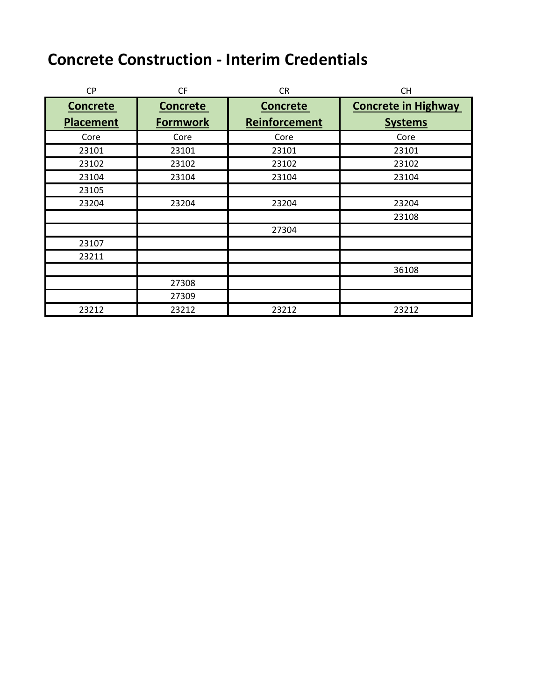# **Concrete Construction - Interim Credentials**

| <b>CP</b>        | <b>CF</b>       | <b>CR</b>       | <b>CH</b>                  |
|------------------|-----------------|-----------------|----------------------------|
| <b>Concrete</b>  | <b>Concrete</b> | <b>Concrete</b> | <b>Concrete in Highway</b> |
| <b>Placement</b> | <b>Formwork</b> | Reinforcement   | <b>Systems</b>             |
| Core             | Core            | Core            | Core                       |
| 23101            | 23101           | 23101           | 23101                      |
| 23102            | 23102           | 23102           | 23102                      |
| 23104            | 23104           | 23104           | 23104                      |
| 23105            |                 |                 |                            |
| 23204            | 23204           | 23204           | 23204                      |
|                  |                 |                 | 23108                      |
|                  |                 | 27304           |                            |
| 23107            |                 |                 |                            |
| 23211            |                 |                 |                            |
|                  |                 |                 | 36108                      |
|                  | 27308           |                 |                            |
|                  | 27309           |                 |                            |
| 23212            | 23212           | 23212           | 23212                      |